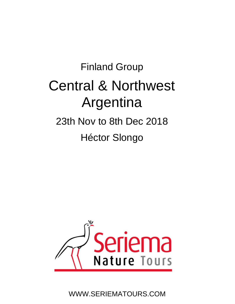# Finland Group Central & Northwest Argentina 23th Nov to 8th Dec 2018 Héctor Slongo



WWW.SERIEMATOURS.COM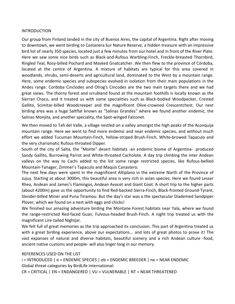#### **INTRODUCTION**

Our group from Finland landed in the city of Buenos Aires, the capital of Argentina. Right after moving to downtown, we went birding to Costanera Sur Nature Reserve, a hidden treasure with an impressive bird list of nearly 350 species, located just a few minutes from our hotel and in front of the River Plate. Here we saw some nice birds such as Black-and-Rufous Warbling-Finch, Freckle-breasted Thornbird, Ringled Teal, Rosy‐billed Pochard and Masked Gnatcatcher. We then flew to the province of Córdoba, located at the centre of Argentina. A mixture of habitats are typical for this area covered in woodlands, shrubs, semi-deserts and agricultural land, dominated to the West by a mountain range. Here, some endemic species and subspecies evolved in isolation from their main populations in the Andes range: Cordoba Cinclodes and Olrog's Cincodes are the two main targets there and we had great views. The thorny forest and scrubland found at the mountain foothills is locally known as the Sierran Chaco, and it treated us with some specialities such as Black‐bodied Woodpecker, Crested Gallito, Scimitar‐billed Woodcreeper and the magnificent Olive‐crowned Crescentchest. Our next birding area was a huge Saltflat known as "Salinas Grandes" where we found another endemic, the Salinas Monjita, and another speciality, the Spot‐winged Falconet.

We then moved to Tafi del Valle, a village nestled on a valley amongst the high peaks of the Aconquija mountain range. Here we went to find more endemic and near endemic species, and without much effort we added Tucuman Mountain‐Finch, Yellow‐striped Brush‐Finch, White‐browed Tapaculo and the very charismatic Rufous‐throated Dipper.

South of the city of Salta, the "Monte" desert habitats ‐an endemic biome of Argentina‐ produced Sandy Gallito, Burrowing Parrot and White-throated Cacholote. A day trip climbing the inter Andean valleys on the way to Cachi added to the list some range restricted species, like Rufous‐bellied Mountain‐Tanager, Zimmer's Tapaculo and Maquis Canastero.

The next few days were spent in the magnificent Altiplano in the extreme North of the Province of Jujuy. Starting at about 3000m, this beautiful area is very rich in avian species. Here we found Lesser Rhea, Andean and James's Flamingos, Andean Avocet and Giant Coot. A short trip to the higher parts (about 4200m) gave us the opportunity to find Red‐backed Sierra‐Finch, Black‐fronted Ground‐Tyrant, Slender‐billed Miner and Puna Tinamou. But the day's star was a the spectacular Diademed Sandpiper‐ Plover, which we found on a nest with eggs and chicks!

We finished our amazing adventure birding the Montane Forest habitats near Yala, where we found the range‐restricted Red‐faced Guan, Fulvous‐headed Brush‐Finch. A night trip treated us with the magnificent Lire‐tailed Nightjar.

We felt full of great memories as the trip approached its conclusion. This part of Argentina treated us with a great birding experience, above our expectations... and lots of great photos to prove it! The vast expanses of natural and diverse habitats, beautiful scenery and a rich Andean culture ‐food, ancient native customs and people‐ will also linger long in our memory.

#### REFERENCES USED ON THE LIST

i = INTRODUCED | e = ENDEMIC SPECIES | eb = ENDEMIC BREEDER | ne = NEAR ENDEMIC Global threat categories by BirdLife international:

CR = CRITICAL | EN = ENDANGERED | VU = VULNERABLE | NT = NEAR THREATENED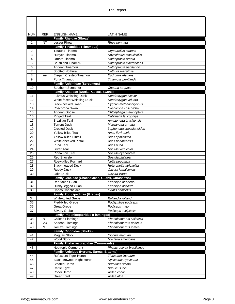| <b>NUM</b>     | <b>REF</b>      | <b>ENGLISH NAME</b><br><b>Family Rheidae (Rheas)</b>            | <b>LATIN NAME</b>                      |
|----------------|-----------------|-----------------------------------------------------------------|----------------------------------------|
| $\mathbf{1}$   | <b>NT</b>       | Lesser Rhea                                                     | Rhea pennata                           |
|                |                 | <b>Family Tinamidae (Tinamous)</b>                              |                                        |
| 2              |                 | Tataupa Tinamou                                                 | Crypturellus tataupa                   |
| 3              |                 | Huayco Tinamou                                                  | Rhynchotus maculicollis                |
| $\overline{4}$ |                 | Ornate Tinamou                                                  | Nothoprocta ornata                     |
| 5              |                 | <b>Brushland Tinamou</b>                                        | Nothoprocta cinerascens                |
| 6              |                 | Andean Tinamou                                                  | Nothoprocta pentlandii                 |
| $\overline{7}$ |                 | Spotted Nothura                                                 | Nothura maculosa                       |
| 8              | ne              | Elegant Crested-Tinamou                                         | Eudromia elegans                       |
| 9              |                 | Puna Tinamou                                                    | Tinamotis pentlandii                   |
|                |                 | <b>Family Anhimidae (Screamers)</b>                             |                                        |
| 10             |                 | Southern Screamer                                               | Chauna torquata                        |
| 11             |                 | Family Anatidae (Ducks, Geese, Swans)<br>Fulvous Whistling-Duck | Dendrocygna bicolor                    |
| 12             |                 | White-faced Whistling-Duck                                      | Dendrocygna viduata                    |
| 13             |                 | <b>Black-necked Swan</b>                                        | Cygnus melanocoryphus                  |
| 14             |                 | Coscoroba Swan                                                  | Coscoroba coscoroba                    |
| 15             |                 | Andean Goose                                                    | Chloephaga melanoptera                 |
| 16             |                 | <b>Ringed Teal</b>                                              | Callonetta leucophrys                  |
| 17             |                 | <b>Brazilian Teal</b>                                           | Amazonetta brasiliensis                |
| 18             |                 | <b>Torrent Duck</b>                                             | Merganetta armata                      |
| 19             |                 | <b>Crested Duck</b>                                             | Lophonetta specularioides              |
| 20             |                 | <b>Yellow-billed Teal</b>                                       | Anas flavirostris                      |
| 21             |                 | <b>Yellow-billed Pintail</b>                                    | Anas spinicauda                        |
| 22             |                 | White-cheeked Pintail                                           | Anas bahamensis                        |
| 23             |                 | Puna Teal                                                       | Anas puna                              |
| 24             |                 | <b>Silver Teal</b>                                              | Spatula versicolor                     |
| 25<br>26       |                 | Cinnamon Teal<br>Red Shoveler                                   | Spatula cyanoptera<br>Spatula platalea |
| 27             |                 | Rosy-billed Pochard                                             | Netta peposaca                         |
| 28             |                 | <b>Black-headed Duck</b>                                        | Heteronetta atricapilla                |
| 29             |                 | Ruddy-Duck                                                      | Oxyura jamaicensis                     |
| 30             |                 | Lake Duck                                                       | Oxyura vittata                         |
|                |                 | Family Cracidae (Chachalacas, Guans, Curassows)                 |                                        |
| 31             |                 | Red-faced Guan                                                  | Penelope dabbenei                      |
| 32             |                 | Dusky-legged Guan                                               | Penelope obscura                       |
| 33             |                 | Chaco Chachalaca                                                | Ortalis canicollis                     |
|                |                 | <b>Family Podicipedidae (Grebes)</b>                            |                                        |
| 34             |                 | White-tufted Grebe                                              | Rollandia rolland                      |
| 35             |                 | Pied-billed Grebe                                               | Podilymbus podiceps                    |
| 36             |                 | <b>Great Grebe</b>                                              | Podiceps major                         |
| 37             |                 | Silvery Grebe                                                   | Podiceps occipitalis                   |
|                | <b>NT</b>       | <b>Family Phoenicopteridae (Flamingos)</b><br>Chilean Flamingo  | Phoenicopterus chilensis               |
| 38<br>39       | VU              | Andean Flamingo                                                 | Phoenicoparrus andinus                 |
| 40             | $\overline{NT}$ | Jame's Flamingo                                                 | Phoenicoparrus jamesi                  |
|                |                 | <b>Family Ciconidae (Storks)</b>                                |                                        |
| 41             |                 | Maguari Stork                                                   | Ciconia maguari                        |
| 42             |                 | Wood Stork                                                      | Mycteria americana                     |
|                |                 | <b>Family Phalacrocoracidae (Cormorants)</b>                    |                                        |
| 43             |                 | Neotropic Cormorant                                             | Phalacrocorax brasilianus              |
|                |                 | Family Ardeidae (Herons, Egrets, Bitterns)                      |                                        |
| 44             |                 | Rufescent Tiger-Heron                                           | Tigrisoma lineatum                     |
| 45             |                 | Black-crowned Night-Heron                                       | Nycticorax nycticorax                  |
| 46             |                 | <b>Striated Heron</b>                                           | <b>Butorides striata</b>               |
| 47             |                 | Cattle Egret                                                    | <b>Bubulcus ibis</b>                   |
| 48             |                 | Cocoi Heron                                                     | Ardea cocoi                            |
| 49             |                 | Great Egret                                                     | Ardea alba                             |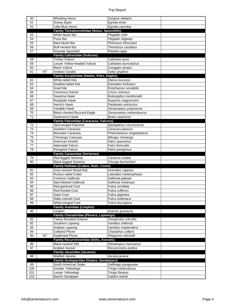| 50       |           | <b>Whistling Heron</b>                                                        | Syrigma sibilatrix                          |
|----------|-----------|-------------------------------------------------------------------------------|---------------------------------------------|
| 51       |           | Snowy Egret                                                                   | Egretta thula                               |
| 52       |           | Little Blue Heron                                                             | Egretta caerulea                            |
|          |           | Family Threskiornithidae (Ibises, Spoonbills)                                 |                                             |
| 53       |           | White-faced Ibis                                                              | Plegadis chihi                              |
| 54       |           | Puna Ibis                                                                     | Plegadis ridgwayi                           |
| 55       |           | Bare-faced Ibis                                                               | Phimosus infuscatus                         |
| 56       |           | <b>Buff-necked Ibis</b>                                                       | Theristicus caudatus                        |
| 57       |           | Roseate Spoonbill                                                             | Platalea ajaja                              |
|          |           | <b>Family Cathartidae (Vultures)</b>                                          |                                             |
| 58       |           | <b>Turkey Vulture</b>                                                         | Cathartes aura                              |
| 59       |           | Lesser Yellow-headed Vulture                                                  | Cathartes burrovianus                       |
| 60       |           | <b>Black Vulture</b>                                                          | Coragyps atratus                            |
| 61       | NT        | Andean Condor                                                                 | Vultur gryphus                              |
|          |           | Family Accipitridae (Hawks, Kites, Eagles)                                    |                                             |
| 62       |           | <b>White-tailed Kite</b>                                                      | Elanus leucurus                             |
| 63       |           | Swallow-tailed Kite                                                           | Elanoides forficatus                        |
| 64       |           | <b>Snail Kite</b>                                                             | Rostrhamus sociabilis                       |
| 65       |           | <b>Cinereous Harrier</b>                                                      | Circus cinereus                             |
| 66       |           | Savanna Hawk                                                                  | <b>Buteogallus meridionalis</b>             |
| 67       |           | Roadside Hawk                                                                 | Rupornis magnirostris                       |
| 68       |           | Harris's Hawk                                                                 | Parabuteo unicinctus                        |
| 69       |           | Variable Hawk                                                                 | Geranoaetus polyosoma                       |
| 70       |           | Black-chested Buzzard-Eagle                                                   | Geranoaetus melanoleucus                    |
| 71       |           | Swainson's Hawk                                                               | Buteo swainsoni                             |
|          |           | <b>Family Falconidae (Caracaras, Falcons)</b>                                 |                                             |
| 72       |           | Spot-winged Falconet                                                          | Spiziapteryx circumcincta                   |
| 73       |           | Southern Caracara                                                             | Caracara plancus                            |
| 74       |           | Mountain Caracara                                                             | Phalcoboenus megalopterus                   |
| 75       |           | Chimango Caracara                                                             | Milvago chimango                            |
| 76       |           | American Kestrel                                                              | Falco sparverius                            |
| 77       |           | Aplomado Falcon                                                               | Falco femoralis                             |
|          |           |                                                                               |                                             |
| 78       |           | Peregrine Falcon                                                              | Falco peregrinus                            |
|          |           | <b>Family Cariamidae (Seriemas)</b>                                           |                                             |
| 79       |           | Red-legged Seriema                                                            | Cariama cristata                            |
| 80       |           | Black-legged Seriema                                                          | Chunga burmeisteri                          |
|          |           | Family Rallidae (Crakes, Rails, Coots)                                        |                                             |
| 81       |           | Grey-necked Wood-Rail                                                         | Aramides cajanea                            |
| 82       |           | Rufous-sided Crake                                                            | Laterallus melanophaius                     |
| 83       |           | <b>Common Gallinule</b>                                                       | Gallinula galeata                           |
| 84       |           | Spot-flanked Gallinule                                                        | Gallinula melanops                          |
| 85       |           | Red-gartered Coot                                                             | Fulica armillata                            |
| 86       |           | Red-fronted Coot                                                              | Fulica rufifrons                            |
| 87       |           | <b>Giant Coot</b>                                                             | Fulica gigantea                             |
| 88       |           | Slate-colored Coot                                                            | Fulica ardesiaca                            |
| 89       |           | White-winged Coot                                                             | Fulica leucoptera                           |
|          |           | <b>Family Aramidae (Limpkin)</b>                                              |                                             |
| 90       |           | Limpkin                                                                       | Aramus guarauna                             |
|          |           | Family Charadriidae (Plovers, Lapwings)                                       |                                             |
| 91       |           | Tawny-throated Dotterel                                                       | Oreopholus ruficollis                       |
| 92       |           | Southern Lapwing                                                              | Vanellus chilensis                          |
| 93<br>94 |           | Andean Lapwing<br><b>Collared Plover</b>                                      | Vanellus resplendens<br>Charadrius collaris |
| 95       | <b>NT</b> | Diademed Plover                                                               |                                             |
|          |           |                                                                               | Phegornis mitchellii                        |
| 96       |           | <b>Family Recurvirostridae (Stilts, Avocets)</b><br><b>Black-necked Stilt</b> |                                             |
| 97       |           | Andean Avocet                                                                 | Himantopus mexicanus                        |
|          |           |                                                                               | Recurvirostra andina                        |
| 98       |           | <b>Family Jacanidae (Jacanas)</b><br>Wattled Jacana                           |                                             |
|          |           |                                                                               | Jacana jacana                               |
| 99       |           | <b>Family Scolopacidae (Snipes, Sandpipers)</b>                               |                                             |
| 100      |           | South American Snipe                                                          | Gallinago paraguaiae<br>Tringa melanoleuca  |
| 101      |           | Greater Yellowlegs<br>Lesser Yellowlegs                                       | Tringa flavipes                             |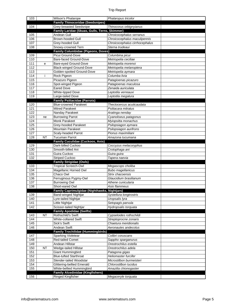| <b>Family Thinocoridae (Seedsnipes)</b><br><b>Grey-breasted Seedsnipe</b><br>104<br>Thinocorus orbignyianus<br>Family Laridae (Skuas, Gulls, Terns, Skimmer)<br>Andean Gull<br>105<br>Chroicocephalus serranus<br>106<br><b>Brown-hooded Gull</b><br>Chroicocephalus maculipennis<br>107<br>Grey-hooded Gull<br>Chroicocephalus cirrhocephalus<br>Sterna trudeaui<br>108<br>Snowy-crowned Tern<br><b>Family Columbidae (Pigeons, Doves)</b><br>Picui Ground-Dove<br>109<br>Columbina picui<br>Bare-faced Ground-Dove<br>Metriopelia ceciliae<br>110<br>Metriopelia morenoi<br>111<br>Bare-eyed Ground-Dove<br>e<br>112<br><b>Black-winged Ground-Dove</b><br>Metriopelia melanoptera<br>113<br>Golden-spotted Ground-Dove<br>Metriopelia aymara<br>114<br>Rock Pigeon<br>Columba livia<br>Ť<br>115<br>Picazuro Pigeon<br>Patagioenas picazuro<br>Spot-winged Pigeon<br>116<br>Patagioenas maculosa<br>117<br><b>Eared Dove</b><br>Zenaida auriculata<br>White-tipped Dove<br>118<br>Leptotila verreauxi<br>119<br>Large-tailed Dove<br>Leptotila megalura<br><b>Family Psittacidae (Parrots)</b><br><b>Blue-crowned Parakeet</b><br>120<br>Thectocercus acuticaudata<br>121<br><b>Mitred Parakeet</b><br>Psittacara mitratus<br>122<br>Nanday Parakeet<br>Aratinga nenday<br>123<br>Cyanoliseus patagonus<br><b>Burrowing Parrot</b><br>ne<br>124<br><b>Monk Parakeet</b><br>Myiopsitta monachus<br>125<br>Grey-hooded Parakeet<br>Psilopsiagon aymara<br>Psilopsiagon aurifrons<br>126<br><b>Mountain Parakeet</b><br>127<br>Pionus maximiliani<br>Scaly-headed Parrot<br>128<br><b>NT</b><br><b>Tucuman Parrot</b><br>Amazona tucumana<br><b>Family Cuculidae (Cuckoos, Anis)</b><br>Dark-billed Cuckoo<br>129<br>Coccyzus melacoryphus<br>Crotophaga ani<br>130<br>Smooth-billed Ani<br>131<br>Guira Cuckoo<br>Guira guira<br>132<br><b>Striped Cuckoo</b><br>Tapera naevia<br><b>Family Strigidae (Owls)</b><br>Tropical Screech-Owl<br>133<br>Megascops choliba<br>134<br>Magellanic Horned Owl<br><b>Bubo magellanicus</b><br>135<br>Strix chacoensis<br>Chaco Owl<br>136<br>Ferruginous Pygmy-Owl<br>Glaucidium brasilianum<br>137<br><b>Burrowing Owl</b><br>Athene cunicularia<br>138<br>Short-eared Owl<br>Asio flammeus<br>Family Caprimulgidae (Nighthawks, Nightjars)<br>Band-winged Nightjar<br>Systellura longirostris<br>139<br>140<br>Lyre-tailed Nightjar<br>Uropsalis lyra<br>141<br>Little Nightjar<br>Setopagis parvula<br>142<br>Scissor-tailed Nightjar<br>Hydropsalis torquata<br><b>Family Apodidae (Swifts)</b><br>143<br>Rothschild's Swift<br>Cypseloides rothschildi<br><b>NT</b><br>144<br>White-collared Swift<br>Streptoprocne zonaris<br>145<br>Sick's Swift<br>Chaetura meridionalis<br>146<br>Andean Swift<br>Aeronautes andecolus<br><b>Family Trochilidae (Hummingbirds)</b><br><b>Sparking Violetear</b><br>147<br>Colibri coruscans<br>148<br>Red-tailed Comet<br>Sappho sparganurus<br>149<br>Andean Hillstar<br>Oreotrochilus estella<br>150<br><b>NT</b><br>Wedge-tailed Hillstar<br>Oreotrochilus adela<br>Giant Hummingbird<br>151<br>Patagona gigas<br><b>Blue-tufted Starthroat</b><br>Heliomaster furcifer<br>152<br>Slender-tailed Woodstar<br>153<br>Microstilbon burmeisteri<br>154<br>Chlorostilbon lucidus<br>Glittering-bellied Emerald<br>155<br>White-bellied Hummingbird<br>Amazilia chionogaster<br><b>Family Alcedinidae (Kingfishers)</b> |  | Wilson's Phalarope | Phalaropus tricolor |  |
|------------------------------------------------------------------------------------------------------------------------------------------------------------------------------------------------------------------------------------------------------------------------------------------------------------------------------------------------------------------------------------------------------------------------------------------------------------------------------------------------------------------------------------------------------------------------------------------------------------------------------------------------------------------------------------------------------------------------------------------------------------------------------------------------------------------------------------------------------------------------------------------------------------------------------------------------------------------------------------------------------------------------------------------------------------------------------------------------------------------------------------------------------------------------------------------------------------------------------------------------------------------------------------------------------------------------------------------------------------------------------------------------------------------------------------------------------------------------------------------------------------------------------------------------------------------------------------------------------------------------------------------------------------------------------------------------------------------------------------------------------------------------------------------------------------------------------------------------------------------------------------------------------------------------------------------------------------------------------------------------------------------------------------------------------------------------------------------------------------------------------------------------------------------------------------------------------------------------------------------------------------------------------------------------------------------------------------------------------------------------------------------------------------------------------------------------------------------------------------------------------------------------------------------------------------------------------------------------------------------------------------------------------------------------------------------------------------------------------------------------------------------------------------------------------------------------------------------------------------------------------------------------------------------------------------------------------------------------------------------------------------------------------------------------------------------------------------------------------------------------------------------------------------------------------------------------------------------------------------------------------------------------------------------------------------------------------------------------------------------------------------------------------|--|--------------------|---------------------|--|
|                                                                                                                                                                                                                                                                                                                                                                                                                                                                                                                                                                                                                                                                                                                                                                                                                                                                                                                                                                                                                                                                                                                                                                                                                                                                                                                                                                                                                                                                                                                                                                                                                                                                                                                                                                                                                                                                                                                                                                                                                                                                                                                                                                                                                                                                                                                                                                                                                                                                                                                                                                                                                                                                                                                                                                                                                                                                                                                                                                                                                                                                                                                                                                                                                                                                                                                                                                                                      |  |                    |                     |  |
|                                                                                                                                                                                                                                                                                                                                                                                                                                                                                                                                                                                                                                                                                                                                                                                                                                                                                                                                                                                                                                                                                                                                                                                                                                                                                                                                                                                                                                                                                                                                                                                                                                                                                                                                                                                                                                                                                                                                                                                                                                                                                                                                                                                                                                                                                                                                                                                                                                                                                                                                                                                                                                                                                                                                                                                                                                                                                                                                                                                                                                                                                                                                                                                                                                                                                                                                                                                                      |  |                    |                     |  |
|                                                                                                                                                                                                                                                                                                                                                                                                                                                                                                                                                                                                                                                                                                                                                                                                                                                                                                                                                                                                                                                                                                                                                                                                                                                                                                                                                                                                                                                                                                                                                                                                                                                                                                                                                                                                                                                                                                                                                                                                                                                                                                                                                                                                                                                                                                                                                                                                                                                                                                                                                                                                                                                                                                                                                                                                                                                                                                                                                                                                                                                                                                                                                                                                                                                                                                                                                                                                      |  |                    |                     |  |
|                                                                                                                                                                                                                                                                                                                                                                                                                                                                                                                                                                                                                                                                                                                                                                                                                                                                                                                                                                                                                                                                                                                                                                                                                                                                                                                                                                                                                                                                                                                                                                                                                                                                                                                                                                                                                                                                                                                                                                                                                                                                                                                                                                                                                                                                                                                                                                                                                                                                                                                                                                                                                                                                                                                                                                                                                                                                                                                                                                                                                                                                                                                                                                                                                                                                                                                                                                                                      |  |                    |                     |  |
|                                                                                                                                                                                                                                                                                                                                                                                                                                                                                                                                                                                                                                                                                                                                                                                                                                                                                                                                                                                                                                                                                                                                                                                                                                                                                                                                                                                                                                                                                                                                                                                                                                                                                                                                                                                                                                                                                                                                                                                                                                                                                                                                                                                                                                                                                                                                                                                                                                                                                                                                                                                                                                                                                                                                                                                                                                                                                                                                                                                                                                                                                                                                                                                                                                                                                                                                                                                                      |  |                    |                     |  |
|                                                                                                                                                                                                                                                                                                                                                                                                                                                                                                                                                                                                                                                                                                                                                                                                                                                                                                                                                                                                                                                                                                                                                                                                                                                                                                                                                                                                                                                                                                                                                                                                                                                                                                                                                                                                                                                                                                                                                                                                                                                                                                                                                                                                                                                                                                                                                                                                                                                                                                                                                                                                                                                                                                                                                                                                                                                                                                                                                                                                                                                                                                                                                                                                                                                                                                                                                                                                      |  |                    |                     |  |
|                                                                                                                                                                                                                                                                                                                                                                                                                                                                                                                                                                                                                                                                                                                                                                                                                                                                                                                                                                                                                                                                                                                                                                                                                                                                                                                                                                                                                                                                                                                                                                                                                                                                                                                                                                                                                                                                                                                                                                                                                                                                                                                                                                                                                                                                                                                                                                                                                                                                                                                                                                                                                                                                                                                                                                                                                                                                                                                                                                                                                                                                                                                                                                                                                                                                                                                                                                                                      |  |                    |                     |  |
|                                                                                                                                                                                                                                                                                                                                                                                                                                                                                                                                                                                                                                                                                                                                                                                                                                                                                                                                                                                                                                                                                                                                                                                                                                                                                                                                                                                                                                                                                                                                                                                                                                                                                                                                                                                                                                                                                                                                                                                                                                                                                                                                                                                                                                                                                                                                                                                                                                                                                                                                                                                                                                                                                                                                                                                                                                                                                                                                                                                                                                                                                                                                                                                                                                                                                                                                                                                                      |  |                    |                     |  |
|                                                                                                                                                                                                                                                                                                                                                                                                                                                                                                                                                                                                                                                                                                                                                                                                                                                                                                                                                                                                                                                                                                                                                                                                                                                                                                                                                                                                                                                                                                                                                                                                                                                                                                                                                                                                                                                                                                                                                                                                                                                                                                                                                                                                                                                                                                                                                                                                                                                                                                                                                                                                                                                                                                                                                                                                                                                                                                                                                                                                                                                                                                                                                                                                                                                                                                                                                                                                      |  |                    |                     |  |
|                                                                                                                                                                                                                                                                                                                                                                                                                                                                                                                                                                                                                                                                                                                                                                                                                                                                                                                                                                                                                                                                                                                                                                                                                                                                                                                                                                                                                                                                                                                                                                                                                                                                                                                                                                                                                                                                                                                                                                                                                                                                                                                                                                                                                                                                                                                                                                                                                                                                                                                                                                                                                                                                                                                                                                                                                                                                                                                                                                                                                                                                                                                                                                                                                                                                                                                                                                                                      |  |                    |                     |  |
|                                                                                                                                                                                                                                                                                                                                                                                                                                                                                                                                                                                                                                                                                                                                                                                                                                                                                                                                                                                                                                                                                                                                                                                                                                                                                                                                                                                                                                                                                                                                                                                                                                                                                                                                                                                                                                                                                                                                                                                                                                                                                                                                                                                                                                                                                                                                                                                                                                                                                                                                                                                                                                                                                                                                                                                                                                                                                                                                                                                                                                                                                                                                                                                                                                                                                                                                                                                                      |  |                    |                     |  |
|                                                                                                                                                                                                                                                                                                                                                                                                                                                                                                                                                                                                                                                                                                                                                                                                                                                                                                                                                                                                                                                                                                                                                                                                                                                                                                                                                                                                                                                                                                                                                                                                                                                                                                                                                                                                                                                                                                                                                                                                                                                                                                                                                                                                                                                                                                                                                                                                                                                                                                                                                                                                                                                                                                                                                                                                                                                                                                                                                                                                                                                                                                                                                                                                                                                                                                                                                                                                      |  |                    |                     |  |
|                                                                                                                                                                                                                                                                                                                                                                                                                                                                                                                                                                                                                                                                                                                                                                                                                                                                                                                                                                                                                                                                                                                                                                                                                                                                                                                                                                                                                                                                                                                                                                                                                                                                                                                                                                                                                                                                                                                                                                                                                                                                                                                                                                                                                                                                                                                                                                                                                                                                                                                                                                                                                                                                                                                                                                                                                                                                                                                                                                                                                                                                                                                                                                                                                                                                                                                                                                                                      |  |                    |                     |  |
|                                                                                                                                                                                                                                                                                                                                                                                                                                                                                                                                                                                                                                                                                                                                                                                                                                                                                                                                                                                                                                                                                                                                                                                                                                                                                                                                                                                                                                                                                                                                                                                                                                                                                                                                                                                                                                                                                                                                                                                                                                                                                                                                                                                                                                                                                                                                                                                                                                                                                                                                                                                                                                                                                                                                                                                                                                                                                                                                                                                                                                                                                                                                                                                                                                                                                                                                                                                                      |  |                    |                     |  |
|                                                                                                                                                                                                                                                                                                                                                                                                                                                                                                                                                                                                                                                                                                                                                                                                                                                                                                                                                                                                                                                                                                                                                                                                                                                                                                                                                                                                                                                                                                                                                                                                                                                                                                                                                                                                                                                                                                                                                                                                                                                                                                                                                                                                                                                                                                                                                                                                                                                                                                                                                                                                                                                                                                                                                                                                                                                                                                                                                                                                                                                                                                                                                                                                                                                                                                                                                                                                      |  |                    |                     |  |
|                                                                                                                                                                                                                                                                                                                                                                                                                                                                                                                                                                                                                                                                                                                                                                                                                                                                                                                                                                                                                                                                                                                                                                                                                                                                                                                                                                                                                                                                                                                                                                                                                                                                                                                                                                                                                                                                                                                                                                                                                                                                                                                                                                                                                                                                                                                                                                                                                                                                                                                                                                                                                                                                                                                                                                                                                                                                                                                                                                                                                                                                                                                                                                                                                                                                                                                                                                                                      |  |                    |                     |  |
|                                                                                                                                                                                                                                                                                                                                                                                                                                                                                                                                                                                                                                                                                                                                                                                                                                                                                                                                                                                                                                                                                                                                                                                                                                                                                                                                                                                                                                                                                                                                                                                                                                                                                                                                                                                                                                                                                                                                                                                                                                                                                                                                                                                                                                                                                                                                                                                                                                                                                                                                                                                                                                                                                                                                                                                                                                                                                                                                                                                                                                                                                                                                                                                                                                                                                                                                                                                                      |  |                    |                     |  |
|                                                                                                                                                                                                                                                                                                                                                                                                                                                                                                                                                                                                                                                                                                                                                                                                                                                                                                                                                                                                                                                                                                                                                                                                                                                                                                                                                                                                                                                                                                                                                                                                                                                                                                                                                                                                                                                                                                                                                                                                                                                                                                                                                                                                                                                                                                                                                                                                                                                                                                                                                                                                                                                                                                                                                                                                                                                                                                                                                                                                                                                                                                                                                                                                                                                                                                                                                                                                      |  |                    |                     |  |
|                                                                                                                                                                                                                                                                                                                                                                                                                                                                                                                                                                                                                                                                                                                                                                                                                                                                                                                                                                                                                                                                                                                                                                                                                                                                                                                                                                                                                                                                                                                                                                                                                                                                                                                                                                                                                                                                                                                                                                                                                                                                                                                                                                                                                                                                                                                                                                                                                                                                                                                                                                                                                                                                                                                                                                                                                                                                                                                                                                                                                                                                                                                                                                                                                                                                                                                                                                                                      |  |                    |                     |  |
|                                                                                                                                                                                                                                                                                                                                                                                                                                                                                                                                                                                                                                                                                                                                                                                                                                                                                                                                                                                                                                                                                                                                                                                                                                                                                                                                                                                                                                                                                                                                                                                                                                                                                                                                                                                                                                                                                                                                                                                                                                                                                                                                                                                                                                                                                                                                                                                                                                                                                                                                                                                                                                                                                                                                                                                                                                                                                                                                                                                                                                                                                                                                                                                                                                                                                                                                                                                                      |  |                    |                     |  |
|                                                                                                                                                                                                                                                                                                                                                                                                                                                                                                                                                                                                                                                                                                                                                                                                                                                                                                                                                                                                                                                                                                                                                                                                                                                                                                                                                                                                                                                                                                                                                                                                                                                                                                                                                                                                                                                                                                                                                                                                                                                                                                                                                                                                                                                                                                                                                                                                                                                                                                                                                                                                                                                                                                                                                                                                                                                                                                                                                                                                                                                                                                                                                                                                                                                                                                                                                                                                      |  |                    |                     |  |
|                                                                                                                                                                                                                                                                                                                                                                                                                                                                                                                                                                                                                                                                                                                                                                                                                                                                                                                                                                                                                                                                                                                                                                                                                                                                                                                                                                                                                                                                                                                                                                                                                                                                                                                                                                                                                                                                                                                                                                                                                                                                                                                                                                                                                                                                                                                                                                                                                                                                                                                                                                                                                                                                                                                                                                                                                                                                                                                                                                                                                                                                                                                                                                                                                                                                                                                                                                                                      |  |                    |                     |  |
|                                                                                                                                                                                                                                                                                                                                                                                                                                                                                                                                                                                                                                                                                                                                                                                                                                                                                                                                                                                                                                                                                                                                                                                                                                                                                                                                                                                                                                                                                                                                                                                                                                                                                                                                                                                                                                                                                                                                                                                                                                                                                                                                                                                                                                                                                                                                                                                                                                                                                                                                                                                                                                                                                                                                                                                                                                                                                                                                                                                                                                                                                                                                                                                                                                                                                                                                                                                                      |  |                    |                     |  |
|                                                                                                                                                                                                                                                                                                                                                                                                                                                                                                                                                                                                                                                                                                                                                                                                                                                                                                                                                                                                                                                                                                                                                                                                                                                                                                                                                                                                                                                                                                                                                                                                                                                                                                                                                                                                                                                                                                                                                                                                                                                                                                                                                                                                                                                                                                                                                                                                                                                                                                                                                                                                                                                                                                                                                                                                                                                                                                                                                                                                                                                                                                                                                                                                                                                                                                                                                                                                      |  |                    |                     |  |
|                                                                                                                                                                                                                                                                                                                                                                                                                                                                                                                                                                                                                                                                                                                                                                                                                                                                                                                                                                                                                                                                                                                                                                                                                                                                                                                                                                                                                                                                                                                                                                                                                                                                                                                                                                                                                                                                                                                                                                                                                                                                                                                                                                                                                                                                                                                                                                                                                                                                                                                                                                                                                                                                                                                                                                                                                                                                                                                                                                                                                                                                                                                                                                                                                                                                                                                                                                                                      |  |                    |                     |  |
|                                                                                                                                                                                                                                                                                                                                                                                                                                                                                                                                                                                                                                                                                                                                                                                                                                                                                                                                                                                                                                                                                                                                                                                                                                                                                                                                                                                                                                                                                                                                                                                                                                                                                                                                                                                                                                                                                                                                                                                                                                                                                                                                                                                                                                                                                                                                                                                                                                                                                                                                                                                                                                                                                                                                                                                                                                                                                                                                                                                                                                                                                                                                                                                                                                                                                                                                                                                                      |  |                    |                     |  |
|                                                                                                                                                                                                                                                                                                                                                                                                                                                                                                                                                                                                                                                                                                                                                                                                                                                                                                                                                                                                                                                                                                                                                                                                                                                                                                                                                                                                                                                                                                                                                                                                                                                                                                                                                                                                                                                                                                                                                                                                                                                                                                                                                                                                                                                                                                                                                                                                                                                                                                                                                                                                                                                                                                                                                                                                                                                                                                                                                                                                                                                                                                                                                                                                                                                                                                                                                                                                      |  |                    |                     |  |
|                                                                                                                                                                                                                                                                                                                                                                                                                                                                                                                                                                                                                                                                                                                                                                                                                                                                                                                                                                                                                                                                                                                                                                                                                                                                                                                                                                                                                                                                                                                                                                                                                                                                                                                                                                                                                                                                                                                                                                                                                                                                                                                                                                                                                                                                                                                                                                                                                                                                                                                                                                                                                                                                                                                                                                                                                                                                                                                                                                                                                                                                                                                                                                                                                                                                                                                                                                                                      |  |                    |                     |  |
|                                                                                                                                                                                                                                                                                                                                                                                                                                                                                                                                                                                                                                                                                                                                                                                                                                                                                                                                                                                                                                                                                                                                                                                                                                                                                                                                                                                                                                                                                                                                                                                                                                                                                                                                                                                                                                                                                                                                                                                                                                                                                                                                                                                                                                                                                                                                                                                                                                                                                                                                                                                                                                                                                                                                                                                                                                                                                                                                                                                                                                                                                                                                                                                                                                                                                                                                                                                                      |  |                    |                     |  |
|                                                                                                                                                                                                                                                                                                                                                                                                                                                                                                                                                                                                                                                                                                                                                                                                                                                                                                                                                                                                                                                                                                                                                                                                                                                                                                                                                                                                                                                                                                                                                                                                                                                                                                                                                                                                                                                                                                                                                                                                                                                                                                                                                                                                                                                                                                                                                                                                                                                                                                                                                                                                                                                                                                                                                                                                                                                                                                                                                                                                                                                                                                                                                                                                                                                                                                                                                                                                      |  |                    |                     |  |
|                                                                                                                                                                                                                                                                                                                                                                                                                                                                                                                                                                                                                                                                                                                                                                                                                                                                                                                                                                                                                                                                                                                                                                                                                                                                                                                                                                                                                                                                                                                                                                                                                                                                                                                                                                                                                                                                                                                                                                                                                                                                                                                                                                                                                                                                                                                                                                                                                                                                                                                                                                                                                                                                                                                                                                                                                                                                                                                                                                                                                                                                                                                                                                                                                                                                                                                                                                                                      |  |                    |                     |  |
|                                                                                                                                                                                                                                                                                                                                                                                                                                                                                                                                                                                                                                                                                                                                                                                                                                                                                                                                                                                                                                                                                                                                                                                                                                                                                                                                                                                                                                                                                                                                                                                                                                                                                                                                                                                                                                                                                                                                                                                                                                                                                                                                                                                                                                                                                                                                                                                                                                                                                                                                                                                                                                                                                                                                                                                                                                                                                                                                                                                                                                                                                                                                                                                                                                                                                                                                                                                                      |  |                    |                     |  |
|                                                                                                                                                                                                                                                                                                                                                                                                                                                                                                                                                                                                                                                                                                                                                                                                                                                                                                                                                                                                                                                                                                                                                                                                                                                                                                                                                                                                                                                                                                                                                                                                                                                                                                                                                                                                                                                                                                                                                                                                                                                                                                                                                                                                                                                                                                                                                                                                                                                                                                                                                                                                                                                                                                                                                                                                                                                                                                                                                                                                                                                                                                                                                                                                                                                                                                                                                                                                      |  |                    |                     |  |
|                                                                                                                                                                                                                                                                                                                                                                                                                                                                                                                                                                                                                                                                                                                                                                                                                                                                                                                                                                                                                                                                                                                                                                                                                                                                                                                                                                                                                                                                                                                                                                                                                                                                                                                                                                                                                                                                                                                                                                                                                                                                                                                                                                                                                                                                                                                                                                                                                                                                                                                                                                                                                                                                                                                                                                                                                                                                                                                                                                                                                                                                                                                                                                                                                                                                                                                                                                                                      |  |                    |                     |  |
|                                                                                                                                                                                                                                                                                                                                                                                                                                                                                                                                                                                                                                                                                                                                                                                                                                                                                                                                                                                                                                                                                                                                                                                                                                                                                                                                                                                                                                                                                                                                                                                                                                                                                                                                                                                                                                                                                                                                                                                                                                                                                                                                                                                                                                                                                                                                                                                                                                                                                                                                                                                                                                                                                                                                                                                                                                                                                                                                                                                                                                                                                                                                                                                                                                                                                                                                                                                                      |  |                    |                     |  |
|                                                                                                                                                                                                                                                                                                                                                                                                                                                                                                                                                                                                                                                                                                                                                                                                                                                                                                                                                                                                                                                                                                                                                                                                                                                                                                                                                                                                                                                                                                                                                                                                                                                                                                                                                                                                                                                                                                                                                                                                                                                                                                                                                                                                                                                                                                                                                                                                                                                                                                                                                                                                                                                                                                                                                                                                                                                                                                                                                                                                                                                                                                                                                                                                                                                                                                                                                                                                      |  |                    |                     |  |
|                                                                                                                                                                                                                                                                                                                                                                                                                                                                                                                                                                                                                                                                                                                                                                                                                                                                                                                                                                                                                                                                                                                                                                                                                                                                                                                                                                                                                                                                                                                                                                                                                                                                                                                                                                                                                                                                                                                                                                                                                                                                                                                                                                                                                                                                                                                                                                                                                                                                                                                                                                                                                                                                                                                                                                                                                                                                                                                                                                                                                                                                                                                                                                                                                                                                                                                                                                                                      |  |                    |                     |  |
|                                                                                                                                                                                                                                                                                                                                                                                                                                                                                                                                                                                                                                                                                                                                                                                                                                                                                                                                                                                                                                                                                                                                                                                                                                                                                                                                                                                                                                                                                                                                                                                                                                                                                                                                                                                                                                                                                                                                                                                                                                                                                                                                                                                                                                                                                                                                                                                                                                                                                                                                                                                                                                                                                                                                                                                                                                                                                                                                                                                                                                                                                                                                                                                                                                                                                                                                                                                                      |  |                    |                     |  |
|                                                                                                                                                                                                                                                                                                                                                                                                                                                                                                                                                                                                                                                                                                                                                                                                                                                                                                                                                                                                                                                                                                                                                                                                                                                                                                                                                                                                                                                                                                                                                                                                                                                                                                                                                                                                                                                                                                                                                                                                                                                                                                                                                                                                                                                                                                                                                                                                                                                                                                                                                                                                                                                                                                                                                                                                                                                                                                                                                                                                                                                                                                                                                                                                                                                                                                                                                                                                      |  |                    |                     |  |
|                                                                                                                                                                                                                                                                                                                                                                                                                                                                                                                                                                                                                                                                                                                                                                                                                                                                                                                                                                                                                                                                                                                                                                                                                                                                                                                                                                                                                                                                                                                                                                                                                                                                                                                                                                                                                                                                                                                                                                                                                                                                                                                                                                                                                                                                                                                                                                                                                                                                                                                                                                                                                                                                                                                                                                                                                                                                                                                                                                                                                                                                                                                                                                                                                                                                                                                                                                                                      |  |                    |                     |  |
|                                                                                                                                                                                                                                                                                                                                                                                                                                                                                                                                                                                                                                                                                                                                                                                                                                                                                                                                                                                                                                                                                                                                                                                                                                                                                                                                                                                                                                                                                                                                                                                                                                                                                                                                                                                                                                                                                                                                                                                                                                                                                                                                                                                                                                                                                                                                                                                                                                                                                                                                                                                                                                                                                                                                                                                                                                                                                                                                                                                                                                                                                                                                                                                                                                                                                                                                                                                                      |  |                    |                     |  |
|                                                                                                                                                                                                                                                                                                                                                                                                                                                                                                                                                                                                                                                                                                                                                                                                                                                                                                                                                                                                                                                                                                                                                                                                                                                                                                                                                                                                                                                                                                                                                                                                                                                                                                                                                                                                                                                                                                                                                                                                                                                                                                                                                                                                                                                                                                                                                                                                                                                                                                                                                                                                                                                                                                                                                                                                                                                                                                                                                                                                                                                                                                                                                                                                                                                                                                                                                                                                      |  |                    |                     |  |
|                                                                                                                                                                                                                                                                                                                                                                                                                                                                                                                                                                                                                                                                                                                                                                                                                                                                                                                                                                                                                                                                                                                                                                                                                                                                                                                                                                                                                                                                                                                                                                                                                                                                                                                                                                                                                                                                                                                                                                                                                                                                                                                                                                                                                                                                                                                                                                                                                                                                                                                                                                                                                                                                                                                                                                                                                                                                                                                                                                                                                                                                                                                                                                                                                                                                                                                                                                                                      |  |                    |                     |  |
|                                                                                                                                                                                                                                                                                                                                                                                                                                                                                                                                                                                                                                                                                                                                                                                                                                                                                                                                                                                                                                                                                                                                                                                                                                                                                                                                                                                                                                                                                                                                                                                                                                                                                                                                                                                                                                                                                                                                                                                                                                                                                                                                                                                                                                                                                                                                                                                                                                                                                                                                                                                                                                                                                                                                                                                                                                                                                                                                                                                                                                                                                                                                                                                                                                                                                                                                                                                                      |  |                    |                     |  |
|                                                                                                                                                                                                                                                                                                                                                                                                                                                                                                                                                                                                                                                                                                                                                                                                                                                                                                                                                                                                                                                                                                                                                                                                                                                                                                                                                                                                                                                                                                                                                                                                                                                                                                                                                                                                                                                                                                                                                                                                                                                                                                                                                                                                                                                                                                                                                                                                                                                                                                                                                                                                                                                                                                                                                                                                                                                                                                                                                                                                                                                                                                                                                                                                                                                                                                                                                                                                      |  |                    |                     |  |
|                                                                                                                                                                                                                                                                                                                                                                                                                                                                                                                                                                                                                                                                                                                                                                                                                                                                                                                                                                                                                                                                                                                                                                                                                                                                                                                                                                                                                                                                                                                                                                                                                                                                                                                                                                                                                                                                                                                                                                                                                                                                                                                                                                                                                                                                                                                                                                                                                                                                                                                                                                                                                                                                                                                                                                                                                                                                                                                                                                                                                                                                                                                                                                                                                                                                                                                                                                                                      |  |                    |                     |  |
|                                                                                                                                                                                                                                                                                                                                                                                                                                                                                                                                                                                                                                                                                                                                                                                                                                                                                                                                                                                                                                                                                                                                                                                                                                                                                                                                                                                                                                                                                                                                                                                                                                                                                                                                                                                                                                                                                                                                                                                                                                                                                                                                                                                                                                                                                                                                                                                                                                                                                                                                                                                                                                                                                                                                                                                                                                                                                                                                                                                                                                                                                                                                                                                                                                                                                                                                                                                                      |  |                    |                     |  |
|                                                                                                                                                                                                                                                                                                                                                                                                                                                                                                                                                                                                                                                                                                                                                                                                                                                                                                                                                                                                                                                                                                                                                                                                                                                                                                                                                                                                                                                                                                                                                                                                                                                                                                                                                                                                                                                                                                                                                                                                                                                                                                                                                                                                                                                                                                                                                                                                                                                                                                                                                                                                                                                                                                                                                                                                                                                                                                                                                                                                                                                                                                                                                                                                                                                                                                                                                                                                      |  |                    |                     |  |
|                                                                                                                                                                                                                                                                                                                                                                                                                                                                                                                                                                                                                                                                                                                                                                                                                                                                                                                                                                                                                                                                                                                                                                                                                                                                                                                                                                                                                                                                                                                                                                                                                                                                                                                                                                                                                                                                                                                                                                                                                                                                                                                                                                                                                                                                                                                                                                                                                                                                                                                                                                                                                                                                                                                                                                                                                                                                                                                                                                                                                                                                                                                                                                                                                                                                                                                                                                                                      |  |                    |                     |  |
|                                                                                                                                                                                                                                                                                                                                                                                                                                                                                                                                                                                                                                                                                                                                                                                                                                                                                                                                                                                                                                                                                                                                                                                                                                                                                                                                                                                                                                                                                                                                                                                                                                                                                                                                                                                                                                                                                                                                                                                                                                                                                                                                                                                                                                                                                                                                                                                                                                                                                                                                                                                                                                                                                                                                                                                                                                                                                                                                                                                                                                                                                                                                                                                                                                                                                                                                                                                                      |  |                    |                     |  |
|                                                                                                                                                                                                                                                                                                                                                                                                                                                                                                                                                                                                                                                                                                                                                                                                                                                                                                                                                                                                                                                                                                                                                                                                                                                                                                                                                                                                                                                                                                                                                                                                                                                                                                                                                                                                                                                                                                                                                                                                                                                                                                                                                                                                                                                                                                                                                                                                                                                                                                                                                                                                                                                                                                                                                                                                                                                                                                                                                                                                                                                                                                                                                                                                                                                                                                                                                                                                      |  |                    |                     |  |
|                                                                                                                                                                                                                                                                                                                                                                                                                                                                                                                                                                                                                                                                                                                                                                                                                                                                                                                                                                                                                                                                                                                                                                                                                                                                                                                                                                                                                                                                                                                                                                                                                                                                                                                                                                                                                                                                                                                                                                                                                                                                                                                                                                                                                                                                                                                                                                                                                                                                                                                                                                                                                                                                                                                                                                                                                                                                                                                                                                                                                                                                                                                                                                                                                                                                                                                                                                                                      |  |                    |                     |  |
|                                                                                                                                                                                                                                                                                                                                                                                                                                                                                                                                                                                                                                                                                                                                                                                                                                                                                                                                                                                                                                                                                                                                                                                                                                                                                                                                                                                                                                                                                                                                                                                                                                                                                                                                                                                                                                                                                                                                                                                                                                                                                                                                                                                                                                                                                                                                                                                                                                                                                                                                                                                                                                                                                                                                                                                                                                                                                                                                                                                                                                                                                                                                                                                                                                                                                                                                                                                                      |  |                    |                     |  |
|                                                                                                                                                                                                                                                                                                                                                                                                                                                                                                                                                                                                                                                                                                                                                                                                                                                                                                                                                                                                                                                                                                                                                                                                                                                                                                                                                                                                                                                                                                                                                                                                                                                                                                                                                                                                                                                                                                                                                                                                                                                                                                                                                                                                                                                                                                                                                                                                                                                                                                                                                                                                                                                                                                                                                                                                                                                                                                                                                                                                                                                                                                                                                                                                                                                                                                                                                                                                      |  |                    |                     |  |
|                                                                                                                                                                                                                                                                                                                                                                                                                                                                                                                                                                                                                                                                                                                                                                                                                                                                                                                                                                                                                                                                                                                                                                                                                                                                                                                                                                                                                                                                                                                                                                                                                                                                                                                                                                                                                                                                                                                                                                                                                                                                                                                                                                                                                                                                                                                                                                                                                                                                                                                                                                                                                                                                                                                                                                                                                                                                                                                                                                                                                                                                                                                                                                                                                                                                                                                                                                                                      |  |                    |                     |  |
|                                                                                                                                                                                                                                                                                                                                                                                                                                                                                                                                                                                                                                                                                                                                                                                                                                                                                                                                                                                                                                                                                                                                                                                                                                                                                                                                                                                                                                                                                                                                                                                                                                                                                                                                                                                                                                                                                                                                                                                                                                                                                                                                                                                                                                                                                                                                                                                                                                                                                                                                                                                                                                                                                                                                                                                                                                                                                                                                                                                                                                                                                                                                                                                                                                                                                                                                                                                                      |  |                    |                     |  |
|                                                                                                                                                                                                                                                                                                                                                                                                                                                                                                                                                                                                                                                                                                                                                                                                                                                                                                                                                                                                                                                                                                                                                                                                                                                                                                                                                                                                                                                                                                                                                                                                                                                                                                                                                                                                                                                                                                                                                                                                                                                                                                                                                                                                                                                                                                                                                                                                                                                                                                                                                                                                                                                                                                                                                                                                                                                                                                                                                                                                                                                                                                                                                                                                                                                                                                                                                                                                      |  |                    |                     |  |
|                                                                                                                                                                                                                                                                                                                                                                                                                                                                                                                                                                                                                                                                                                                                                                                                                                                                                                                                                                                                                                                                                                                                                                                                                                                                                                                                                                                                                                                                                                                                                                                                                                                                                                                                                                                                                                                                                                                                                                                                                                                                                                                                                                                                                                                                                                                                                                                                                                                                                                                                                                                                                                                                                                                                                                                                                                                                                                                                                                                                                                                                                                                                                                                                                                                                                                                                                                                                      |  |                    |                     |  |
|                                                                                                                                                                                                                                                                                                                                                                                                                                                                                                                                                                                                                                                                                                                                                                                                                                                                                                                                                                                                                                                                                                                                                                                                                                                                                                                                                                                                                                                                                                                                                                                                                                                                                                                                                                                                                                                                                                                                                                                                                                                                                                                                                                                                                                                                                                                                                                                                                                                                                                                                                                                                                                                                                                                                                                                                                                                                                                                                                                                                                                                                                                                                                                                                                                                                                                                                                                                                      |  |                    |                     |  |
|                                                                                                                                                                                                                                                                                                                                                                                                                                                                                                                                                                                                                                                                                                                                                                                                                                                                                                                                                                                                                                                                                                                                                                                                                                                                                                                                                                                                                                                                                                                                                                                                                                                                                                                                                                                                                                                                                                                                                                                                                                                                                                                                                                                                                                                                                                                                                                                                                                                                                                                                                                                                                                                                                                                                                                                                                                                                                                                                                                                                                                                                                                                                                                                                                                                                                                                                                                                                      |  |                    |                     |  |
|                                                                                                                                                                                                                                                                                                                                                                                                                                                                                                                                                                                                                                                                                                                                                                                                                                                                                                                                                                                                                                                                                                                                                                                                                                                                                                                                                                                                                                                                                                                                                                                                                                                                                                                                                                                                                                                                                                                                                                                                                                                                                                                                                                                                                                                                                                                                                                                                                                                                                                                                                                                                                                                                                                                                                                                                                                                                                                                                                                                                                                                                                                                                                                                                                                                                                                                                                                                                      |  |                    |                     |  |
| 156<br>Ringed Kingfisher<br>Megaceryle torquata                                                                                                                                                                                                                                                                                                                                                                                                                                                                                                                                                                                                                                                                                                                                                                                                                                                                                                                                                                                                                                                                                                                                                                                                                                                                                                                                                                                                                                                                                                                                                                                                                                                                                                                                                                                                                                                                                                                                                                                                                                                                                                                                                                                                                                                                                                                                                                                                                                                                                                                                                                                                                                                                                                                                                                                                                                                                                                                                                                                                                                                                                                                                                                                                                                                                                                                                                      |  |                    |                     |  |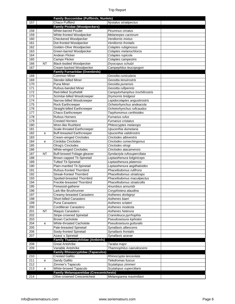|     |           | <b>Family Bucconidae (Puffbirds, Nunlets)</b>  |                                 |
|-----|-----------|------------------------------------------------|---------------------------------|
| 157 |           | Chaco Puffbird                                 | Nystalus striatipectus          |
|     |           | <b>Family Picidae (Woodpeckers)</b>            |                                 |
| 158 |           | White-barred Piculet                           | Picumnus cirratus               |
| 159 |           | White-fronted Woodpecker                       | Melanerpes cactorum             |
| 160 |           | Checkered Woodpecker                           | Veniliornis mixtus              |
| 161 |           | Dot-fronted Woodpecker                         | Veniliornis frontalis           |
| 162 |           | Golden-Olive Woodpecker                        | Colaptes rubiginosus            |
| 163 |           | Green-barred Woodpecker                        | Colaptes melanochloros          |
| 164 |           | Andean Flicker                                 | Colaptes rupicola               |
| 165 |           | Campo Flicker                                  | Colaptes campestris             |
| 166 | <b>NT</b> | <b>Black-bodied Woodpecker</b>                 | Dryocopus schulzi               |
| 167 |           | Cream-backed Woodpecker                        | Campephilus leucopogon          |
|     |           | <b>Family Furnariidae (Ovenbirds)</b>          |                                 |
| 168 |           | <b>Common Miner</b>                            | Geositta cunicularia            |
| 169 |           | Slender-billed Miner                           | Geositta tenuirostris           |
| 170 |           | Puna Miner                                     | Geositta punensis               |
| 171 |           | Rufous-banded Miner                            | Geositta rufipennis             |
| 172 |           | Red-billed Scythebill                          | Campylorhamphus trochilirostris |
| 173 |           | Scimitar-billed Woodcreeper                    | Drymornis bridgesii             |
| 174 |           | Narrow-billed Woodcreeper                      | Lepidocolaptes angustirostris   |
| 175 |           | Rock Earthcreeper                              | Ochetorhynchus andeacola        |
| 176 |           | Straight-billed Earthcreeper                   | Ochetorhynchus ruficaudus       |
| 177 |           | Chaco Earthcreeper                             | Tarphonomus certhioides         |
| 178 |           | Rufous Hornero                                 | Furnarius rufus                 |
| 179 |           | <b>Crested Hornero</b>                         | Furnarius cristatus             |
| 180 |           | Wren-like Rushbird                             | Phleocryptes melanops           |
| 181 |           | Scale-throated Earthcreeper                    | Upucerthia dumetaria            |
| 182 | е         | <b>Buff-breasted Earthcreeper</b>              | Upucerthia validirostris        |
| 183 |           | Cream-winged Cinclodes                         | Cinclodes albiventris           |
| 184 | е         | Córdoba Cinclodes                              | Cinclodes comechingonus         |
| 185 |           | Olrog's Cinclodes                              | Cinclodes olrogi                |
| 186 |           | <b>White-winged Cinclodes</b>                  | Cinclodes atacamensis           |
| 187 | <b>NT</b> | Buff-browed Foliage-gleaner                    | Syndactyla rufosuperciliata     |
| 188 |           | Brown-capped Tit-Spinetail                     | Leptasthenura fuliginiceps      |
| 189 |           | <b>Tufted Tit-Spinetail</b>                    | Leptasthenura platensis         |
| 190 |           | Plain-mantled Tit-Spinetail                    | Leptasthenura aegithaloides     |
| 191 |           | Rufous-fronted Thornbird                       | Phacellodomus rufifrons         |
| 192 |           | <b>Streak-fronted Thornbird</b>                | Phacellodomus striaticeps       |
| 193 |           | Spotted-breasted Thornbird                     | Phacellodomus maculipectus      |
| 194 |           | Freckle-breasted Thornbird                     | Phacellodomus striaticollis     |
| 195 |           | Firewood-gatherer                              | Anumbius annumbi                |
| 196 |           | Lark-like Brushrunner                          | Coryphistera alaudina           |
| 197 |           | Creamy-breasted Canastero                      | Asthenes dorbignyi              |
| 198 |           | Short-billed Canastero                         | Asthenes baeri                  |
| 199 |           | Puna Canastero                                 | Asthenes sclateri               |
| 200 |           | Cordilleran Canastero                          | Asthenes modesta                |
| 201 | <b>NT</b> | Maquis Canastero                               | Asthenes heterura               |
| 202 |           | Stripe-crowned Spinetail                       | Cranioleuca pyrrhophia          |
| 203 |           | <b>Brown Cacholote</b>                         | Pseudoseisura lophotes          |
| 204 | е         | White-throated Cacholote                       | Pseudoseisura gutturalis        |
| 205 |           | Pale-breasted Spinetail                        | Synallaxis albescens            |
| 206 |           | Sooty-fronted Spinetail                        | Synallaxis frontalis            |
| 207 |           | Azara's Spinetail                              | Synallaxis azarae               |
|     |           | <b>Family Thamnophilidae (Antbirds)</b>        |                                 |
| 208 |           | <b>Great Antshrike</b>                         | Taraba major                    |
| 209 |           | Variable Antshrike                             | Thamnophilus caerulescens       |
|     |           | <b>Family Rhinocryptidae (Tapaculos)</b>       |                                 |
| 210 |           | <b>Crested Gallito</b>                         | Rhinocrypta lanceolata          |
| 211 | е         | Sandy Gallito                                  | Teledromas fuscus               |
| 212 |           | Zimmer's Tapaculo                              | Scytalopus zimmeri              |
| 213 | e         | White-browed Tapaculo                          | Scytalopus superciliaris        |
|     |           | <b>Family Melanopareiidae (Crescentchests)</b> |                                 |
| 214 |           | Olive-crowned Crescentchest                    | Melanopareia maximiliani        |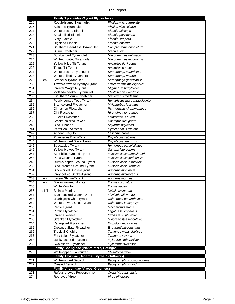|     |      | <b>Family Tyrannidae (Tyrant Flycatchers)</b>    |                                |  |
|-----|------|--------------------------------------------------|--------------------------------|--|
| 215 |      | Rough-legged Tyrannulet                          | Phyllomyias burmeisteri        |  |
| 216 |      | Sclater's Tyrannulet                             | Phyllomyias sclateri           |  |
| 217 |      | White-crested Elaenia                            | Elaenia albiceps               |  |
| 218 |      | Small-billed Elaenia                             | Elaenia parvirostris           |  |
| 219 |      | Slaty Elaenia                                    | Elaenia strepera               |  |
| 220 |      | <b>Highland Elaenia</b>                          | Elaenia obscura                |  |
| 221 |      | Southern Beardless-Tyrannulet                    | Camptostoma obsoletum          |  |
| 222 |      | Suiriri Flycatcher                               | Suiriri suiriri                |  |
| 223 |      | <b>Buff-banded Tyrannulet</b>                    | Mecocerculus hellmayri         |  |
| 224 |      | White-throated Tyrannulet                        | Mecocerculus leucophrys        |  |
| 225 |      | Yellow-billed Tit-Tyrant                         | Anairetes flavirostris         |  |
| 226 |      | <b>Tufted Tit-Tyrant</b>                         | Anairetes parulus              |  |
| 227 |      | White-crested Tyrannulet                         | Serpophaga subcristata         |  |
| 228 |      | White-bellied Tyrannulet                         |                                |  |
| 229 |      |                                                  | Serpophaga munda               |  |
|     | eb   | Stranek's Tyrannulet                             | Serpophaga griseicapilla       |  |
| 230 |      | Tawny-crowned Pygmy-Tyrant                       | Euscarthmus meloryphus         |  |
| 231 |      | <b>Greater Wagtail-Tyrant</b>                    | Stigmatura budytoides          |  |
| 232 |      | Mottled-cheeked Tyrannulet                       | Phylloscartes ventralis        |  |
| 233 |      | Southern Scrub-Flycatcher                        | Sublegatus modestus            |  |
| 234 |      | Pearly-vented Tody-Tyrant                        | Hemitriccus margaritaceiventer |  |
| 235 |      | Bran-colored Flycatcher                          | Myiophobus fasciatus           |  |
| 236 |      | Cinnamon Flycatcher                              | Pyrrhomyias cinnamomeus        |  |
| 237 |      | Cliff Flycatcher                                 | Hirundinea ferruginea          |  |
| 238 |      | Euler's Flycatcher                               | Lathrotriccus euleri           |  |
| 239 |      | Smoke-colored Pewee                              | Contopus fumigatus             |  |
| 240 |      | <b>Black Phoebe</b>                              | Sayornis nigricans             |  |
| 241 |      | Vermilion Flycatcher                             | Pyrocephalus rubinus           |  |
| 242 |      | Andean Negrito                                   | Lessonia oreas                 |  |
| 243 |      | Plumbeous Black-Tyrant                           | Knipolegus cabanisi            |  |
| 244 |      | White-winged Black-Tyrant                        | Knipolegus aterrimus           |  |
| 245 |      | Spectacled Tyrant                                | Hymenops perspicillatus        |  |
| 246 |      | Yellow-browed Tyrant                             | Satrapa icterophrys            |  |
| 247 |      | Spot-billed Ground-Tyrant                        | Muscisaxicola maculirostris    |  |
| 248 |      | Puna Ground-Tyrant                               | Muscisaxicola juninensis       |  |
| 249 |      | Rufous-naped Ground-Tyrant                       | Muscisaxicola rufivertex       |  |
|     |      |                                                  | Muscisaxicola frontalis        |  |
| 250 |      | <b>Black-fronted Ground-Tyrant</b>               |                                |  |
| 251 |      | <b>Black-billed Shrike-Tyrant</b>                | Agriornis montanus             |  |
| 252 |      | Grey-bellied Shrike-Tyrant                       | Agriornis micropterus          |  |
| 253 | eb   | Lesser Shrike-Tyrant                             | Agriornis murinus              |  |
| 254 | eb   | <b>Black-crowned Monjita</b>                     | Xolmis coronatus               |  |
| 255 |      | White Monjita                                    | Xolmis irupero                 |  |
| 256 | e-NT | Salinas Monjita                                  | Xolmis salinarum               |  |
| 257 |      | Black-backed Water-Tyrant                        | Fluvicola albiventer           |  |
| 258 |      | D'Orbigny's Chat-Tyrant                          | Ochthoeca oenanthoides         |  |
| 259 |      | White-browed Chat-Tyrant                         | Ochthoeca leucophrys           |  |
| 260 |      | Cattle Tyrant                                    | Machetornis rixosa             |  |
| 261 |      | Piratic Flycatcher                               | Legatus leucophaius            |  |
| 262 |      | <b>Great Kiskadee</b>                            | Pitangus sulphuratus           |  |
| 263 |      | <b>Streaked Flycatcher</b>                       | Myiodynastes maculatus         |  |
| 264 |      | Variegated Flycatcher                            | Empidonomus varius             |  |
| 265 |      | Crowned Slaty-Flycatcher                         | E. aurantioatrocristatus       |  |
| 266 |      | <b>Tropical Kingbird</b>                         | Tyrannus melancholicus         |  |
| 267 |      | Fork-tailed Flycatcher                           | Tyrannus savana                |  |
| 268 |      | Dusky-capped Flycatcher                          | Myiarchus tuberculifer         |  |
| 269 |      | Swainson's Flycatcher                            | Myiarchus swainsoni            |  |
|     |      | Family Cotingidae (Plantcutters, Cotingas)       |                                |  |
| 270 |      | White-tipped Plantcutter                         | Phytotoma rutila               |  |
|     |      |                                                  |                                |  |
|     |      | Family Tityridae (Becards, Tityras, Schiffornis) |                                |  |
| 271 |      | White-winged Becard                              | Pachyramphus polychopterus     |  |
| 272 |      | <b>Crested Becard</b>                            | Pachyramphus validus           |  |
|     |      | Family Vireonidae (Vireos, Greenlets)            |                                |  |
| 273 |      | Rufous-browed Peppershrike                       | Cyclarhis gujanensis           |  |
| 274 |      | Red-eyed Vireo                                   | Vireo olivaceus                |  |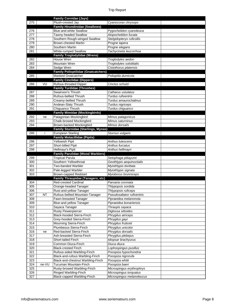|            |           | <b>Family Corvidae (Jays)</b>                        |                                                     |  |
|------------|-----------|------------------------------------------------------|-----------------------------------------------------|--|
| 275        |           | Plush-crested Jay                                    | Cyanocorax chrysops                                 |  |
|            |           | <b>Family Hirundinidae (Swallows)</b>                |                                                     |  |
| 276        |           | <b>Blue-and-white Swallow</b>                        | Pygochelidon cyanoleuca                             |  |
| 277        |           | Tawny-headed Swallow                                 | Alopochelidon fucata                                |  |
| 278        |           | Southern Rough-winged Swallow                        | Stelgidopteryx ruficollis                           |  |
| 279        |           | <b>Brown-chested Martin</b>                          | Progne tapera                                       |  |
| 280        |           | Southern Martin                                      | Progne elegans                                      |  |
| 281        |           | White-rumped Swallow                                 | Tachycineta leucorrhoa                              |  |
|            |           | <b>Family Troglodytidae (Wrens)</b>                  |                                                     |  |
| 282        |           | House Wren                                           | Troglodytes aedon                                   |  |
| 283        |           | <b>Mountain Wren</b>                                 | Troglodytes solstitialis                            |  |
| 284        |           | Sedge Wren                                           | Cistothorus platensis                               |  |
|            |           | <b>Family Polioptilidae (Gnatcatchers)</b>           |                                                     |  |
| 285        |           | <b>Masked Gnatcatcher</b>                            | Polioptila dumicola                                 |  |
|            |           | <b>Family Cinclidae (Dippers)</b>                    |                                                     |  |
| 286        | VU        | Rufous-throated Dipper                               | Cinclus schulzi                                     |  |
|            |           | <b>Family Turdidae (Thrushes)</b>                    |                                                     |  |
| 287        |           | Swainson's Thrush                                    | Catharus ustulatus                                  |  |
| 288        |           | Rufous-bellied Thrush                                | Turdus rufiventris                                  |  |
| 289        |           | Creamy-bellied Thrush                                | Turdus amaurochalinus                               |  |
| 290        |           | Andean-Slaty Thrush                                  | Turdus nigriceps                                    |  |
| 291        |           | Chiguanco Thrush                                     | Turdus chiguanco                                    |  |
|            |           | <b>Family Mimidae (Mockingbirds)</b>                 |                                                     |  |
| 292        | ne        | Patagonian Mockingbird                               | Mimus patagonicus                                   |  |
| 293        |           | Chalk-browed Mockingbird                             | Mimus saturninus                                    |  |
| 294        |           | Brown-backed Mockingbird                             | Mimus dorsalis                                      |  |
|            |           | Family Sturnidae (Starlings, Mynas)                  |                                                     |  |
| 295        | Ť         | <b>European Starling</b>                             | Sturnus vulgaris                                    |  |
|            |           | <b>Family Motacillidae (Pipits)</b>                  |                                                     |  |
| 296        |           | Yellowish Pipit                                      | Anthus lutescens                                    |  |
| 297        |           | Short-billed Pipit                                   | Anthus furcatus                                     |  |
|            |           |                                                      |                                                     |  |
| 298        |           | Hellmayr's Pipit                                     | Anthus hellmayri                                    |  |
|            |           | <b>Family Parulidae (Wood Warblers)</b>              |                                                     |  |
| 299        |           | <b>Tropical Parula</b>                               | Setophaga pitiayumi                                 |  |
| 300        |           | Southern Yellowthroat                                | Geothlypis aequinoctialis                           |  |
| 301        |           | Two-banded Warbler                                   | Myiothlypis bivittata                               |  |
| 302        |           | Pale-legged Warbler                                  | Myiothlypis signata                                 |  |
| 303        |           | <b>Brown-capped Redstart</b>                         | Myioborus brunniceps                                |  |
|            |           | <b>Family Thraupidae (Tanagers, etc)</b>             |                                                     |  |
| 304        |           | <b>Red-crested Cardinal</b>                          | Paroaria coronata                                   |  |
| 305        |           | Orange-headed Tanager                                | Thlypopsis sordida                                  |  |
| 306        |           | Rust-and-yellow Tanager                              | Thlypopsis ruficeps                                 |  |
| 307        | <b>NT</b> | Rufous-bellied Mountain-Tanager                      | Pseudosaltator rufiventris                          |  |
| 308        |           | Fawn-breasted Tanager                                | Pipraeidea melanonota                               |  |
| 309        |           | Blue-and-yellow Tanager                              | Pipraeidea bonariensis                              |  |
| 310        |           | Sayaca Tanager                                       | Thraupis sayaca                                     |  |
| 311        |           | Rusty Flowerpiercer                                  | Diglossa sittoides                                  |  |
| 312        |           | <b>Black-hooded Sierra-Finch</b>                     | Phrygilus atriceps                                  |  |
| 313        |           | Grey-hooded Sierra-Finch                             | Phrygilus gayi                                      |  |
| 314        |           | Mourning Sierra-Finch                                | Phrygilus fruticeti                                 |  |
| 315        |           | Plumbeous Sierra-Finch                               | Phrygilus unicolor                                  |  |
| 316        | ne        | Red-backed Sierra-Finch                              | Phrygilus dorsalis                                  |  |
| 317        |           | Ash-breasted Sierra-Finch                            | Phrygilus plebejus                                  |  |
| 318        |           | Short-tailed Finch                                   | Idiopsar brachyurus                                 |  |
| 319        |           | Common Diuca-Finch                                   | Diuca diuca                                         |  |
| 320        |           | <b>Black-crested Finch</b>                           | Lophospingus pusillus                               |  |
| 321        |           | Rufous-sided Warbling-Finch                          | Poospiza hypochondria                               |  |
| 322        |           | Black-and-rufous Warbling-Finch                      | Poospiza nigrorufa                                  |  |
| 323        |           | Black-and-chestnut Warbling-Finch                    | Poospiza whitii                                     |  |
| 324        | ne-VU     | Tucuman Mountain-Finch                               | Poospiza baeri                                      |  |
| 325        |           | Rusty-browed Warbling-Finch                          | Microspingus erythrophrys                           |  |
| 326<br>327 |           | Ringed Warbling-Finch<br>Black-capped Warbling-Finch | Microspingus torquatus<br>Microspingus melanoleucus |  |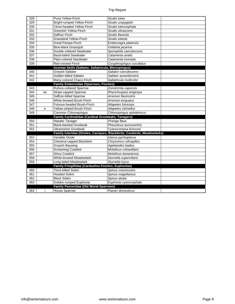| 328 |    | Puna Yellow-Finch                                     | Sicalis lutea                                                           |  |
|-----|----|-------------------------------------------------------|-------------------------------------------------------------------------|--|
| 329 |    | <b>Bright-rumped Yellow-Finch</b>                     | Sicalis uropygialis                                                     |  |
| 330 |    | Citron-headed Yellow-Finch                            | Sicalis luteocephala                                                    |  |
| 331 |    | Greenish Yellow-Finch                                 | Sicalis olivascens                                                      |  |
| 332 |    | Saffron Finch                                         | Sicalis flaveola                                                        |  |
| 333 |    | <b>Grassland Yellow-Finch</b>                         | Sicalis luteola                                                         |  |
| 334 |    | Great Pampa-Finch                                     | Embernagra platensis                                                    |  |
| 335 |    | <b>Blue-black Grassquit</b>                           | Volatinia jacarina                                                      |  |
| 336 |    | Double-collared Seedeater                             | Sporophila caerulescens                                                 |  |
| 337 |    | <b>Band-tailed Seedeater</b>                          | Catamenia analis                                                        |  |
| 338 |    | Plain-colored Seedeater                               | Catamenia inornata                                                      |  |
| 339 |    | <b>Red-crested Finch</b>                              | Coryphospingus cucullatus                                               |  |
|     |    | Incertae Sedis (Saltator, Saltatricula, Mitrospingus) |                                                                         |  |
| 340 |    | Greyish Saltator                                      | Saltator coerulescens                                                   |  |
| 341 |    | Golden-billed Saltator                                | Saltator aurantiirostris                                                |  |
| 342 |    | Many-colored Chaco-Finch                              | Saltatricula multicolor                                                 |  |
|     |    | <b>Family Emberizidae (Sparrows, Finches)</b>         |                                                                         |  |
| 343 |    | Rufous-collared Sparrow                               | Zonotrichia capensis                                                    |  |
| 344 | ne | <b>Stripe-capped Sparrow</b>                          | Rhynchospiza strigiceps                                                 |  |
| 345 |    | Saffron-billed Sparrow                                | Arremon flavirostris                                                    |  |
| 346 |    | White-browed Brush-Finch                              | Arremon torquatus                                                       |  |
| 347 |    | Fulvous-headed Brush-Finch                            | Atlapetes fulviceps                                                     |  |
| 348 | e  | Yellow-striped Brush-Finch                            | Atlapetes citrinellus                                                   |  |
| 349 |    | Common Chlorospingus                                  | Chlorospingus ophtalmicus                                               |  |
|     |    | Family Cardinalidae (Cardinal Grosbeaks, Tanagers)    |                                                                         |  |
| 350 |    | <b>Hepatic Tanager</b>                                | Piranga flava                                                           |  |
| 351 |    | <b>Black-backed Grosbeak</b>                          | Pheucticus aureoventris                                                 |  |
| 352 |    | <b>Ultramarine Grosbeak</b>                           | Cyanocompsa brissonii                                                   |  |
|     |    |                                                       | Family Icteridae (Orioles, Caciques, Blackbirds, Cowbirds, Meadowlarks) |  |
| 353 |    | Variable Oriole                                       | Icterus pyrrhopterus                                                    |  |
| 354 |    | Chestnut-capped Blackbird                             | Chrysomus ruficapillus                                                  |  |
| 355 |    | Grayish Baywing                                       | Agelaioides badius                                                      |  |
| 356 |    | <b>Screaming Cowbird</b>                              | Molothrus rufoaxillaris                                                 |  |
| 357 |    | <b>Shiny Cowbird</b>                                  | Molothrus bonariensis                                                   |  |
| 358 |    | <b>White-browed Meadowlark</b>                        | Sturnella superciliaris                                                 |  |
| 359 |    | Long-tailed Meadowlark                                | Sturnella loyca                                                         |  |
|     |    | Family Fringillidae (Cardueline Finches, Euphonias)   |                                                                         |  |
| 360 |    | <b>Thick-billed Siskin</b>                            | Spinus crassirostris                                                    |  |
| 361 |    | <b>Hooded Siskin</b>                                  | Spinus magellanica                                                      |  |
| 362 |    | <b>Black Siskin</b>                                   | Spinus atrata                                                           |  |
| 363 |    | Golden-rumped Euphonia                                | Euphonia cyanocephala                                                   |  |
|     |    | <b>Family Passeridae (Old World Sparrows)</b>         |                                                                         |  |
| 364 | ÷  | <b>House Sparrow</b>                                  | Passer domesticus                                                       |  |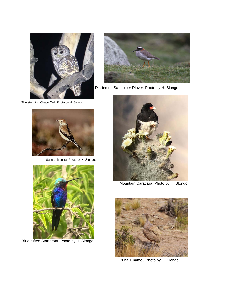

The stunning Chaco Owl .Photo by H. Slongo



Diademed Sandpiper Plover. Photo by H. Slongo.



Salinas Monjita. Photo by H. Slongo.



Blue-tufted Starthroat. Photo by H. Slongo



Mountain Caracara. Photo by H. Slongo.



Puna Tinamou.Photo by H. Slongo.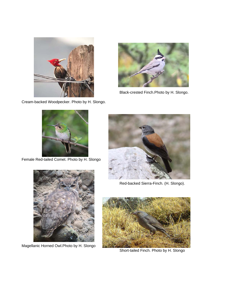

Cream-backed Woodpecker. Photo by H. Slongo.



Black-crested Finch.Photo by H. Slongo.



Female Red-tailed Comet. Photo by H. Slongo



Red-backed Sierra-Finch. (H. Slongo).



Magellanic Horned Owl.Photo by H. Slongo



Short-tailed Finch. Photo by H. Slongo